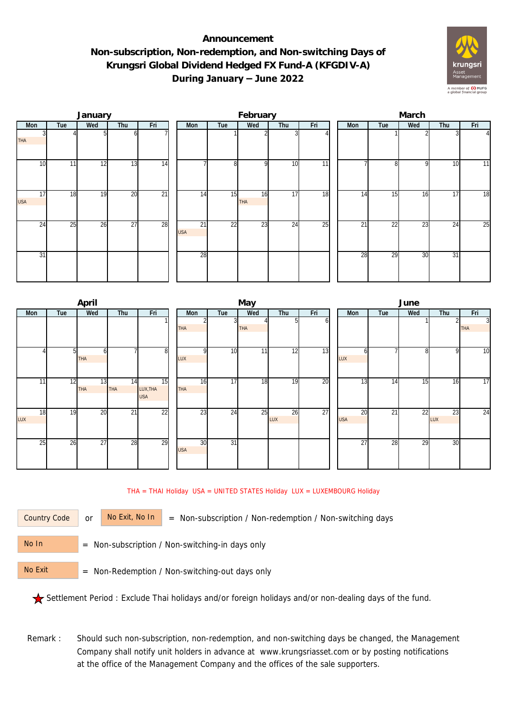## **Announcement Non-subscription, Non-redemption, and Non-switching Days of Krungsri Global Dividend Hedged FX Fund-A (KFGDIV-A) During January – June 2022**



|                  |     | January |                 |                 |  |                  | February |                  |                 | March           |     |                 |     |     |          |  |
|------------------|-----|---------|-----------------|-----------------|--|------------------|----------|------------------|-----------------|-----------------|-----|-----------------|-----|-----|----------|--|
| Mon              | Tue | Wed     | Thu             | Fri             |  | Mon              | Tue      | Wed              | Thu             | Fri             | Mon | Tue             | Wed | Thu | Fri      |  |
| <b>THA</b>       |     |         |                 |                 |  |                  |          |                  |                 |                 |     |                 |     |     | $\Delta$ |  |
| 10               | 11  | 12      | 13              | $\overline{14}$ |  |                  | 8        | <sup>Q</sup>     | 10              | $\overline{11}$ |     | 81              | 9   | 10  | 11       |  |
| 17<br><b>USA</b> | 18  | 19      | 20              | $\overline{21}$ |  | 14               | 15       | 16<br><b>THA</b> | 17              | 18              | 14  | 15              | 16  | 17  | 18       |  |
| 24               | 25  | 26      | $\overline{27}$ | 28              |  | 21<br><b>USA</b> | 22       | $\overline{23}$  | $2\overline{4}$ | 25              | 21  | $2\overline{2}$ | 23  | 24  | 25       |  |
| 31               |     |         |                 |                 |  | 28               |          |                  |                 |                 | 28  | 29              | 30  | 31  |          |  |

|                 |     | April      |                 |                 |            |                 | May             |     |     |  | June            |     |     |     |                |  |  |
|-----------------|-----|------------|-----------------|-----------------|------------|-----------------|-----------------|-----|-----|--|-----------------|-----|-----|-----|----------------|--|--|
| Mon             | Tue | Wed        | Thu             | Fri             | Mon        | Wed<br>Tue      |                 | Thu | Fri |  | Mon             | Tue | Wed | Thu | Fri            |  |  |
|                 |     |            |                 |                 |            |                 |                 |     | οı  |  |                 |     |     | 2   | $\overline{3}$ |  |  |
|                 |     |            |                 |                 | <b>THA</b> |                 | <b>THA</b>      |     |     |  |                 |     |     |     | <b>THA</b>     |  |  |
|                 |     |            |                 |                 |            |                 |                 |     |     |  |                 |     |     |     |                |  |  |
|                 | 51  | ω          |                 | 8 <sup>1</sup>  | $\Omega$   | 10              | 11 <sub>1</sub> | 12  | 13  |  | h               |     | 8   | 9   | 10             |  |  |
|                 |     | <b>THA</b> |                 |                 | LUX        |                 |                 |     |     |  | LUX             |     |     |     |                |  |  |
|                 |     |            |                 |                 |            |                 |                 |     |     |  |                 |     |     |     |                |  |  |
| 11              | 12  | 13         | 14              | 15              | 16         | $\overline{17}$ | 18              | 19  | 20  |  | 13              | 14  | 15  | 16  | 17             |  |  |
|                 |     | <b>THA</b> | THA             | LUX, THA        | THA        |                 |                 |     |     |  |                 |     |     |     |                |  |  |
|                 |     |            |                 | <b>USA</b>      |            |                 |                 |     |     |  |                 |     |     |     |                |  |  |
| 18              | 19  | 20         | $\overline{21}$ | $\overline{22}$ | 23         | 24              | 25              | 26  | 27  |  | $\overline{20}$ | 21  | 22  | 23  | 24             |  |  |
| LUX             |     |            |                 |                 |            |                 |                 | LUX |     |  | <b>USA</b>      |     |     | LUX |                |  |  |
|                 |     |            |                 |                 |            |                 |                 |     |     |  |                 |     |     |     |                |  |  |
| $2\overline{5}$ | 26  | 27         | 28              | 29              | 30         | $\overline{31}$ |                 |     |     |  | $\overline{27}$ | 28  | 29  | 30  |                |  |  |
|                 |     |            |                 |                 | <b>USA</b> |                 |                 |     |     |  |                 |     |     |     |                |  |  |
|                 |     |            |                 |                 |            |                 |                 |     |     |  |                 |     |     |     |                |  |  |
|                 |     |            |                 |                 |            |                 |                 |     |     |  |                 |     |     |     |                |  |  |

THA = THAI Holiday USA = UNITED STATES Holiday LUX = LUXEMBOURG Holiday

Country Code

or  $\overline{\phantom{a}}$  No Exit, No In  $\overline{\phantom{a}}$  = Non-subscription / Non-redemption / Non-switching days

 = Non-subscription / Non-switching-in days only No In

 = Non-Redemption / Non-switching-out days only No Exit

Settlement Period : Exclude Thai holidays and/or foreign holidays and/or non-dealing days of the fund.

Remark : Should such non-subscription, non-redemption, and non-switching days be changed, the Management Company shall notify unit holders in advance at www.krungsriasset.com or by posting notifications at the office of the Management Company and the offices of the sale supporters.